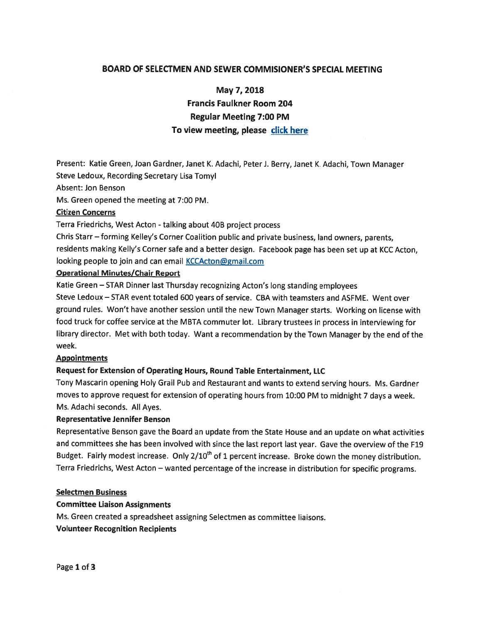# BOARD OF SELECTMEN AND SEWER COMMISIONER'S SPECIAL MEETING

May 7, 2018

Francis Faulkner Room 204 Regular Meeting 7:00 PM To view meeting, please click here

Present: Katie Green, Joan Gardner, Janet K. Adachi, Peter]. Berry, Janet K. Adachi, Town Manager Steve Ledoux, Recording Secretary Lisa Tomyl

### Absent: Jon Benson

Ms. Green opened the meeting at 7:00 PM.

### Citizen Concerns

Terra Friedrichs, West Acton - talking about 40B project process

Chris Starr — forming Kelley's Corner Coalition public and private business, land owners, parents, residents making Kelly's Corner safe and <sup>a</sup> better design. Facebook page has been set up at KCC Acton, looking people to join and can email **KCCActon@gmail.com** 

# Operational Minutes/Chair Report

Katie Green — STAR Dinner last Thursday recognizing Acton's long standing employees

Steve Ledoux — STAR event totaled 600 years of service. CBA with teamsters and ASFME. Went over groun<sup>d</sup> rules. Won't have another session until the new Town Manager starts. Working on license with food truck for coffee service at the MBTA commuter lot. Library trustees in process in interviewing for library director. Met with both today. Want <sup>a</sup> recommendation by the Town Manager by the end of the week.

#### Appointments

## Request for Extension of Operating Hours, Round Table Entertainment, LLC

Tony Mascarin opening Holy Grail Pub and Restaurant and wants to extend serving hours. Ms. Gardner moves to approve reques<sup>t</sup> for extension of operating hours from 10:00 PM to midnight <sup>7</sup> days <sup>a</sup> week. Ms. Adachi seconds. All Ayes.

#### Representative Jennifer Benson

Representative Benson gave the Board an update from the State House and an update on what activities and committees she has been involved with since the last repor<sup>t</sup> last year. Gave the overview of the F19 Budget. Fairly modest increase. Only 2/10<sup>th</sup> of 1 percent increase. Broke down the money distribution. Terra Friedrichs, West Acton — wanted percentage of the increase in distribution for specific programs.

#### Selectmen Business

## Committee Liaison Assignments

Ms. Green created <sup>a</sup> spreadsheet assigning Selectmen as committee liaisons.

## Volunteer Recognition Recipients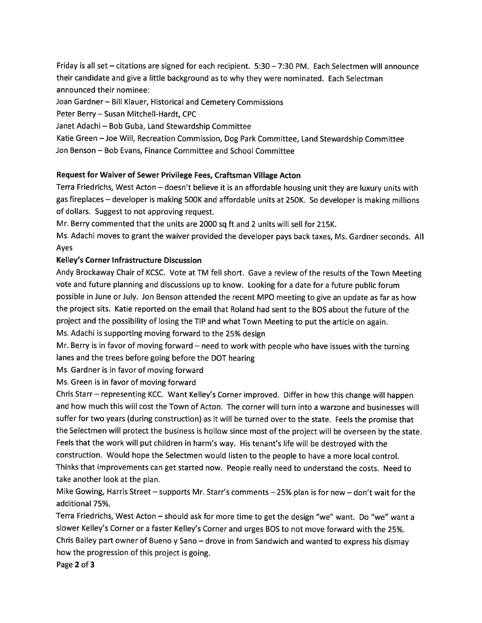Friday is all set — citations are signed for each recipient. 5:30 — 7:30 PM. Each Selectmen will announce their candidate and <sup>g</sup>ive <sup>a</sup> little background as to why they were nominated. Each Selectman announced their nominee:

Joan Gardner— Bill Klauer, Historical and Cemetery Commissions

Peter Berry—Susan Mitchell-Hardt, CPC

Janet Adachi — Bob Guba, Land Stewardship Committee

Katie Green —Joe Will, Recreation Commission, Dog Park Committee, Land Stewardship Committee Jon Benson — Bob Evans, Finance Committee and School Committee

# Request for Waiver of Sewer Privilege Fees, Craftsman Village Acton

Terra Friedrichs, West Acton — doesn't believe it is an affordable housing unit they are luxury units with gas fireplaces — developer is making 500K and affordable units at 250K. So developer is making millions of dollars. Suggest to not approving request.

Mr. Berry commented that the units are 2000 sq ft and <sup>2</sup> units will sell for 215K.

Ms. Adachi moves to gran<sup>t</sup> the waiver provided the developer pays back taxes, Ms. Gardner seconds. All Ayes

#### Kelley's Corner Infrastructure Discussion

Andy Brockaway Chair of KCSC. Vote at TM fell short. Gave <sup>a</sup> review of the results of the Town Meeting vote and future <sup>p</sup>lanning and discussions up to know. Looking for <sup>a</sup> date for <sup>a</sup> future public forum possible in June orJuly. Jon Benson attended the recent MPO meeting to <sup>g</sup>ive an update as far as how the project sits. Katie reported on the email that Roland had sent to the BOS about the future of the project and the possibility of losing the TIP and what Town Meeting to pu<sup>t</sup> the article on again. Ms. Adachi is supporting moving forward to the 25% design

Mr. Berry is in favor of moving forward — need to work with people who have issues with the turning lanes and the trees before going before the DOT hearing

Ms. Gardner is in favor of moving forward

Ms. Green is in favor of moving forward

Chris Starr — representing KCC. Want Kelley's Corner improved. Differ in how this change will happen and how much this will cost the Town of Acton. The corner will turn into <sup>a</sup> warzone and businesses will suffer for two years (during construction) as it will be turned over to the state. Feels the promise that the Selectmen will protect the business is hollow since most of the project will be overseen by the state. Feels that the work will pu<sup>t</sup> children in harm's way. His tenant's life will be destroyed with the construction. Would hope the Selectmen would listen to the people to have <sup>a</sup> more local control. Thinks that improvements can ge<sup>t</sup> started now. People really need to understand the costs. Need to take another look at the plan.

Mike Gowing, Harris Street — supports Mr. Starr's comments — 25% <sup>p</sup>lan is for now — don't wait for the additional 75%.

Terra Friedrichs, West Acton — should ask for more time to ge<sup>t</sup> the design "we" want. Do "we" want <sup>a</sup> slower KelIey's Corner or <sup>a</sup> faster Kelley's Corner and urges BOS to not move forward with the 25%. Chris Bailey par<sup>t</sup> owner of Bueno <sup>y</sup> Sano — drove in from Sandwich and wanted to express his dismay how the progression of this project is going.

Page 2 of 3